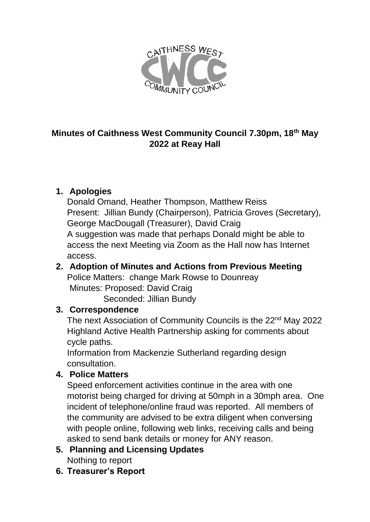

## **Minutes of Caithness West Community Council 7.30pm, 18th May 2022 at Reay Hall**

# **1. Apologies**

Donald Omand, Heather Thompson, Matthew Reiss Present: Jillian Bundy (Chairperson), Patricia Groves (Secretary), George MacDougall (Treasurer), David Craig A suggestion was made that perhaps Donald might be able to access the next Meeting via Zoom as the Hall now has Internet access.

#### **2. Adoption of Minutes and Actions from Previous Meeting** Police Matters: change Mark Rowse to Dounreay Minutes: Proposed: David Craig

Seconded: Jillian Bundy

#### **3. Correspondence**

The next Association of Community Councils is the 22<sup>nd</sup> May 2022 Highland Active Health Partnership asking for comments about cycle paths.

Information from Mackenzie Sutherland regarding design consultation.

#### **4. Police Matters**

Speed enforcement activities continue in the area with one motorist being charged for driving at 50mph in a 30mph area. One incident of telephone/online fraud was reported. All members of the community are advised to be extra diligent when conversing with people online, following web links, receiving calls and being asked to send bank details or money for ANY reason.

- **5. Planning and Licensing Updates** Nothing to report
- **6. Treasurer's Report**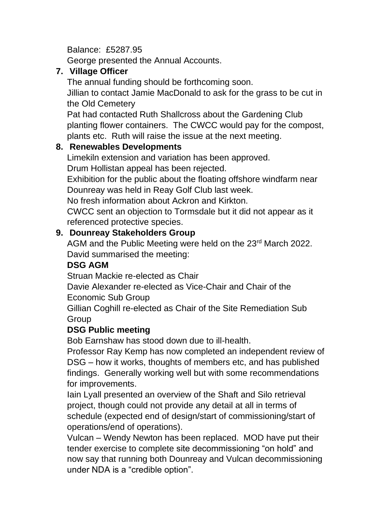Balance: £5287.95

George presented the Annual Accounts.

### **7. Village Officer**

The annual funding should be forthcoming soon. Jillian to contact Jamie MacDonald to ask for the grass to be cut in the Old Cemetery

Pat had contacted Ruth Shallcross about the Gardening Club planting flower containers. The CWCC would pay for the compost, plants etc. Ruth will raise the issue at the next meeting.

## **8. Renewables Developments**

Limekiln extension and variation has been approved.

Drum Hollistan appeal has been rejected.

Exhibition for the public about the floating offshore windfarm near Dounreay was held in Reay Golf Club last week.

No fresh information about Ackron and Kirkton.

CWCC sent an objection to Tormsdale but it did not appear as it referenced protective species.

## **9. Dounreay Stakeholders Group**

AGM and the Public Meeting were held on the 23<sup>rd</sup> March 2022. David summarised the meeting:

### **DSG AGM**

Struan Mackie re-elected as Chair

Davie Alexander re-elected as Vice-Chair and Chair of the Economic Sub Group

Gillian Coghill re-elected as Chair of the Site Remediation Sub Group

#### **DSG Public meeting**

Bob Earnshaw has stood down due to ill-health.

Professor Ray Kemp has now completed an independent review of DSG – how it works, thoughts of members etc, and has published findings. Generally working well but with some recommendations for improvements.

Iain Lyall presented an overview of the Shaft and Silo retrieval project, though could not provide any detail at all in terms of schedule (expected end of design/start of commissioning/start of operations/end of operations).

Vulcan – Wendy Newton has been replaced. MOD have put their tender exercise to complete site decommissioning "on hold" and now say that running both Dounreay and Vulcan decommissioning under NDA is a "credible option".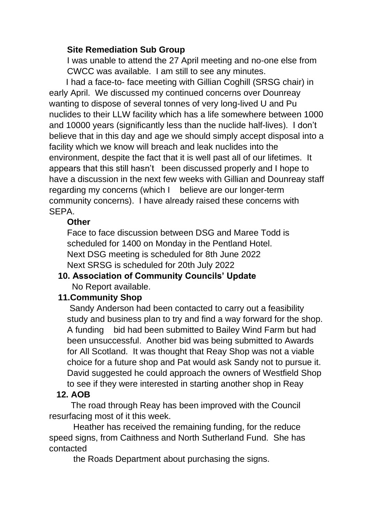#### **Site Remediation Sub Group**

I was unable to attend the 27 April meeting and no-one else from CWCC was available. I am still to see any minutes.

 I had a face-to- face meeting with Gillian Coghill (SRSG chair) in early April. We discussed my continued concerns over Dounreay wanting to dispose of several tonnes of very long-lived U and Pu nuclides to their LLW facility which has a life somewhere between 1000 and 10000 years (significantly less than the nuclide half-lives). I don't believe that in this day and age we should simply accept disposal into a facility which we know will breach and leak nuclides into the environment, despite the fact that it is well past all of our lifetimes. It appears that this still hasn't been discussed properly and I hope to have a discussion in the next few weeks with Gillian and Dounreay staff regarding my concerns (which I believe are our longer-term community concerns). I have already raised these concerns with SEPA.

#### **Other**

Face to face discussion between DSG and Maree Todd is scheduled for 1400 on Monday in the Pentland Hotel. Next DSG meeting is scheduled for 8th June 2022 Next SRSG is scheduled for 20th July 2022

#### **10. Association of Community Councils' Update** No Report available.

#### **11.Community Shop**

Sandy Anderson had been contacted to carry out a feasibility study and business plan to try and find a way forward for the shop. A funding bid had been submitted to Bailey Wind Farm but had been unsuccessful. Another bid was being submitted to Awards for All Scotland. It was thought that Reay Shop was not a viable choice for a future shop and Pat would ask Sandy not to pursue it. David suggested he could approach the owners of Westfield Shop to see if they were interested in starting another shop in Reay

# **12. AOB**

The road through Reay has been improved with the Council resurfacing most of it this week.

 Heather has received the remaining funding, for the reduce speed signs, from Caithness and North Sutherland Fund. She has contacted

the Roads Department about purchasing the signs.